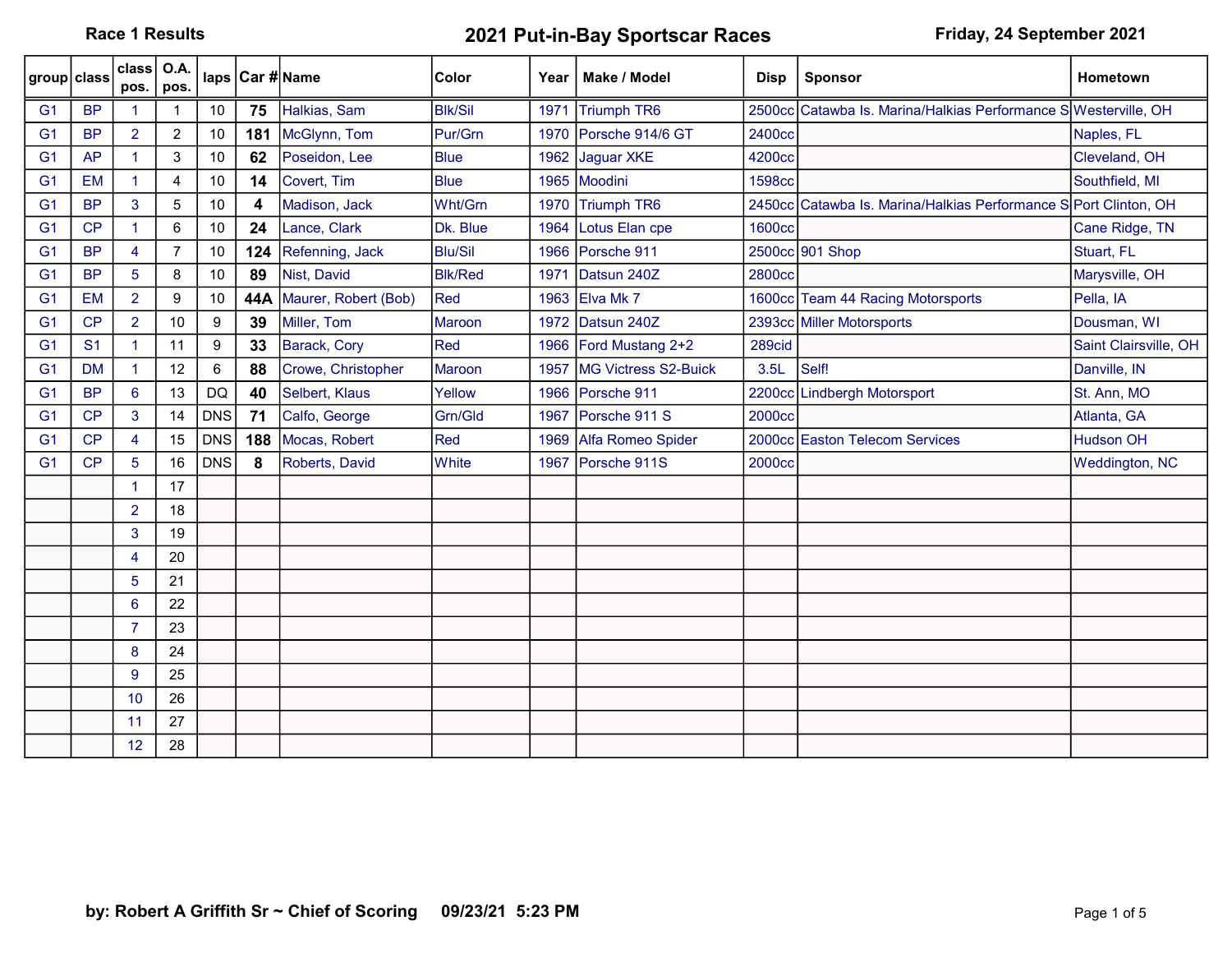Race 1 Results **2021 Put-in-Bay Sportscar Races** Friday, 24 September 2021

| group class    |                | class<br>pos.        | <b>O.A.</b><br>pos. |                  |     | laps   Car # Name    | <b>Color</b>   | Year | Make / Model         | <b>Disp</b>   | <b>Sponsor</b>                                                   | <b>Hometown</b>       |
|----------------|----------------|----------------------|---------------------|------------------|-----|----------------------|----------------|------|----------------------|---------------|------------------------------------------------------------------|-----------------------|
| G <sub>1</sub> | <b>BP</b>      |                      |                     | 10               | 75  | Halkias, Sam         | <b>BIK/Sil</b> | 1971 | Triumph TR6          |               | 2500cc Catawba Is. Marina/Halkias Performance S Westerville, OH  |                       |
| G <sub>1</sub> | <b>BP</b>      | $\overline{2}$       | $\overline{2}$      | 10               | 181 | McGlynn, Tom         | Pur/Grn        | 1970 | Porsche 914/6 GT     | 2400cc        |                                                                  | Naples, FL            |
| G <sub>1</sub> | <b>AP</b>      | $\mathbf{1}$         | 3                   | 10               | 62  | Poseidon, Lee        | <b>Blue</b>    | 1962 | Jaguar XKE           | 4200cc        |                                                                  | Cleveland, OH         |
| G <sub>1</sub> | <b>EM</b>      | $\blacktriangleleft$ | 4                   | 10               | 14  | Covert, Tim          | <b>Blue</b>    | 1965 | Moodini              | 1598cc        |                                                                  | Southfield, MI        |
| G <sub>1</sub> | <b>BP</b>      | 3                    | 5                   | 10               | 4   | Madison, Jack        | Wht/Grn        | 1970 | Triumph TR6          |               | 2450cc Catawba Is. Marina/Halkias Performance S Port Clinton, OH |                       |
| G <sub>1</sub> | CP             | 1                    | 6                   | $10$             | 24  | Lance, Clark         | Dk. Blue       | 1964 | Lotus Elan cpe       | <b>1600cc</b> |                                                                  | Cane Ridge, TN        |
| G <sub>1</sub> | <b>BP</b>      | 4                    | $\overline{7}$      | 10               | 124 | Refenning, Jack      | <b>Blu/Sil</b> | 1966 | Porsche 911          |               | 2500cc 901 Shop                                                  | Stuart, FL            |
| G <sub>1</sub> | <b>BP</b>      | $5^{\circ}$          | 8                   | 10               | 89  | Nist, David          | <b>Blk/Red</b> | 1971 | Datsun 240Z          | 2800cc        |                                                                  | Marysville, OH        |
| G <sub>1</sub> | <b>EM</b>      | $\overline{2}$       | 9                   | 10               | 44A | Maurer, Robert (Bob) | Red            | 1963 | Elva Mk 7            |               | 1600cc Team 44 Racing Motorsports                                | Pella, IA             |
| G <sub>1</sub> | CP             | $\overline{2}$       | 10                  | $\boldsymbol{9}$ | 39  | Miller, Tom          | Maroon         | 1972 | Datsun 240Z          |               | 2393cc Miller Motorsports                                        | Dousman, WI           |
| G <sub>1</sub> | S <sub>1</sub> | $\mathbf{1}$         | 11                  | 9                | 33  | Barack, Cory         | Red            | 1966 | Ford Mustang 2+2     | 289cid        |                                                                  | Saint Clairsville, OH |
| G <sub>1</sub> | <b>DM</b>      | $\mathbf{1}$         | 12                  | 6                | 88  | Crowe, Christopher   | Maroon         | 1957 | MG Victress S2-Buick | 3.5L          | Self!                                                            | Danville, IN          |
| G <sub>1</sub> | <b>BP</b>      | $6^{\circ}$          | 13                  | <b>DQ</b>        | 40  | Selbert, Klaus       | Yellow         | 1966 | Porsche 911          |               | 2200cc Lindbergh Motorsport                                      | St. Ann, MO           |
| G <sub>1</sub> | CP             | 3                    | 14                  | <b>DNS</b>       | 71  | Calfo, George        | Grn/Gld        | 1967 | Porsche 911 S        | 2000cc        |                                                                  | Atlanta, GA           |
| G <sub>1</sub> | CP             | $\overline{4}$       | 15                  | <b>DNS</b>       | 188 | Mocas, Robert        | Red            | 1969 | Alfa Romeo Spider    |               | 2000cc Easton Telecom Services                                   | <b>Hudson OH</b>      |
| G <sub>1</sub> | CP             | 5                    | 16                  | <b>DNS</b>       | 8   | Roberts, David       | <b>White</b>   | 1967 | Porsche 911S         | 2000cc        |                                                                  | Weddington, NC        |
|                |                | $\blacktriangleleft$ | 17                  |                  |     |                      |                |      |                      |               |                                                                  |                       |
|                |                | $\overline{2}$       | 18                  |                  |     |                      |                |      |                      |               |                                                                  |                       |
|                |                | 3                    | 19                  |                  |     |                      |                |      |                      |               |                                                                  |                       |
|                |                | $\overline{4}$       | 20                  |                  |     |                      |                |      |                      |               |                                                                  |                       |
|                |                | 5                    | 21                  |                  |     |                      |                |      |                      |               |                                                                  |                       |
|                |                | 6                    | 22                  |                  |     |                      |                |      |                      |               |                                                                  |                       |
|                |                | $\overline{7}$       | 23                  |                  |     |                      |                |      |                      |               |                                                                  |                       |
|                |                | 8                    | 24                  |                  |     |                      |                |      |                      |               |                                                                  |                       |
|                |                | 9                    | 25                  |                  |     |                      |                |      |                      |               |                                                                  |                       |
|                |                | 10                   | 26                  |                  |     |                      |                |      |                      |               |                                                                  |                       |
|                |                | 11                   | 27                  |                  |     |                      |                |      |                      |               |                                                                  |                       |
|                |                | 12                   | 28                  |                  |     |                      |                |      |                      |               |                                                                  |                       |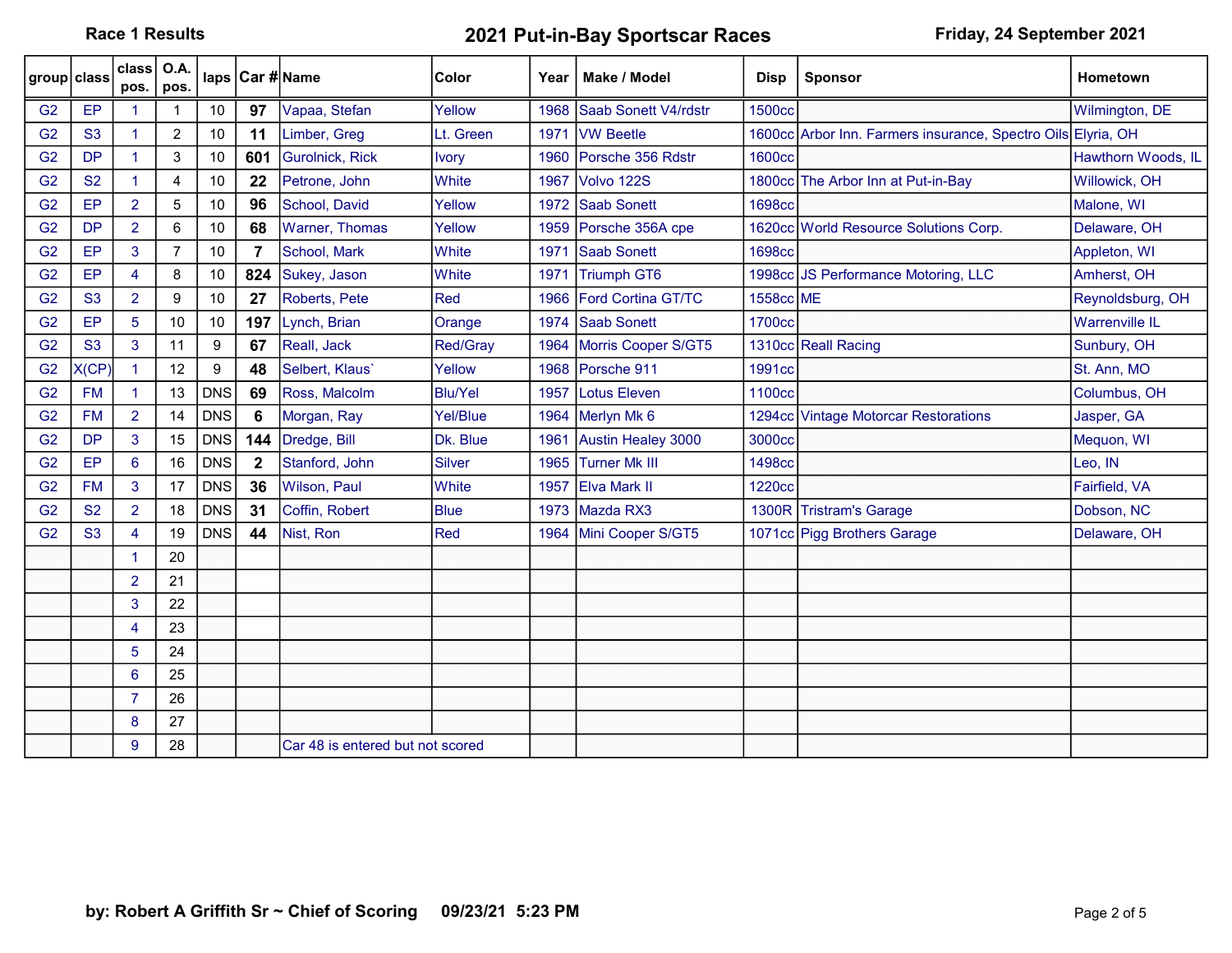Race 1 Results **2021 Put-in-Bay Sportscar Races** Friday, 24 September 2021

| group class    |           | class  <br>pos.      | <b>O.A.</b><br>pos. |            |              | laps   Car # Name                | Color          | Year | Make / Model              | <b>Disp</b>        | <b>Sponsor</b>                                               | Hometown              |
|----------------|-----------|----------------------|---------------------|------------|--------------|----------------------------------|----------------|------|---------------------------|--------------------|--------------------------------------------------------------|-----------------------|
| G <sub>2</sub> | EP        |                      |                     | 10         | 97           | Vapaa, Stefan                    | Yellow         | 1968 | Saab Sonett V4/rdstr      | <b>1500cc</b>      |                                                              | Wilmington, DE        |
| G <sub>2</sub> | <b>S3</b> | $\overline{1}$       | $\overline{2}$      | 10         | 11           | Limber, Greg                     | Lt. Green      | 1971 | <b>VW Beetle</b>          |                    | 1600cc Arbor Inn. Farmers insurance, Spectro Oils Elyria, OH |                       |
| G <sub>2</sub> | <b>DP</b> | $\mathbf{1}$         | 3                   | 10         | 601          | <b>Gurolnick, Rick</b>           | <b>Ivory</b>   | 1960 | Porsche 356 Rdstr         | 1600cc             |                                                              | Hawthorn Woods, IL    |
| G <sub>2</sub> | <b>S2</b> | $\mathbf{1}$         | 4                   | 10         | 22           | Petrone, John                    | <b>White</b>   | 1967 | Volvo 122S                |                    | 1800cc The Arbor Inn at Put-in-Bay                           | Willowick, OH         |
| G <sub>2</sub> | EP        | $\overline{2}$       | 5                   | 10         | 96           | School, David                    | Yellow         | 1972 | Saab Sonett               | 1698cc             |                                                              | Malone, WI            |
| G <sub>2</sub> | <b>DP</b> | $\overline{2}$       | 6                   | 10         | 68           | Warner, Thomas                   | Yellow         | 1959 | Porsche 356A cpe          |                    | 1620cc World Resource Solutions Corp.                        | Delaware, OH          |
| G <sub>2</sub> | EP        | 3                    | 7                   | 10         | 7            | School, Mark                     | <b>White</b>   | 1971 | Saab Sonett               | 1698cc             |                                                              | Appleton, WI          |
| G <sub>2</sub> | EP        | 4                    | 8                   | 10         | 824          | Sukey, Jason                     | <b>White</b>   | 1971 | <b>Triumph GT6</b>        |                    | 1998cc JS Performance Motoring, LLC                          | Amherst, OH           |
| G <sub>2</sub> | <b>S3</b> | $\overline{2}$       | 9                   | 10         | 27           | Roberts, Pete                    | Red            | 1966 | <b>Ford Cortina GT/TC</b> | 1558cc ME          |                                                              | Reynoldsburg, OH      |
| G <sub>2</sub> | EP        | 5                    | 10                  | 10         | 197          | Lynch, Brian                     | Orange         | 1974 | <b>Saab Sonett</b>        | 1700cc             |                                                              | <b>Warrenville IL</b> |
| G <sub>2</sub> | <b>S3</b> | 3                    | 11                  | 9          | 67           | Reall, Jack                      | Red/Gray       |      | 1964 Morris Cooper S/GT5  |                    | 1310cc Reall Racing                                          | Sunbury, OH           |
| G <sub>2</sub> | X(CP)     | $\blacktriangleleft$ | 12                  | 9          | 48           | Selbert, Klaus'                  | Yellow         | 1968 | Porsche 911               | 1991cc             |                                                              | St. Ann, MO           |
| G <sub>2</sub> | <b>FM</b> | $\blacktriangleleft$ | 13                  | <b>DNS</b> | 69           | Ross, Malcolm                    | <b>Blu/Yel</b> | 1957 | Lotus Eleven              | 1100 <sub>cc</sub> |                                                              | Columbus, OH          |
| G <sub>2</sub> | <b>FM</b> | $\overline{2}$       | 14                  | <b>DNS</b> | 6            | Morgan, Ray                      | Yel/Blue       |      | 1964 Merlyn Mk 6          |                    | 1294cc Vintage Motorcar Restorations                         | Jasper, GA            |
| G <sub>2</sub> | <b>DP</b> | 3                    | 15                  | <b>DNS</b> | 144          | Dredge, Bill                     | Dk. Blue       | 1961 | Austin Healey 3000        | 3000cc             |                                                              | Mequon, WI            |
| G <sub>2</sub> | EP        | 6                    | 16                  | <b>DNS</b> | $\mathbf{2}$ | Stanford, John                   | Silver         | 1965 | Turner Mk III             | 1498cc             |                                                              | Leo, IN               |
| G <sub>2</sub> | <b>FM</b> | 3                    | 17                  | <b>DNS</b> | 36           | Wilson, Paul                     | <b>White</b>   | 1957 | <b>Elva Mark II</b>       | 1220 <sub>cc</sub> |                                                              | Fairfield, VA         |
| G <sub>2</sub> | <b>S2</b> | $\overline{2}$       | 18                  | <b>DNS</b> | 31           | Coffin, Robert                   | <b>Blue</b>    | 1973 | Mazda RX3                 |                    | 1300R Tristram's Garage                                      | Dobson, NC            |
| G <sub>2</sub> | <b>S3</b> | $\overline{4}$       | 19                  | <b>DNS</b> | 44           | Nist, Ron                        | Red            |      | 1964 Mini Cooper S/GT5    |                    | 1071cc Pigg Brothers Garage                                  | Delaware, OH          |
|                |           | $\blacktriangleleft$ | 20                  |            |              |                                  |                |      |                           |                    |                                                              |                       |
|                |           | $\overline{2}$       | 21                  |            |              |                                  |                |      |                           |                    |                                                              |                       |
|                |           | 3                    | 22                  |            |              |                                  |                |      |                           |                    |                                                              |                       |
|                |           | 4                    | 23                  |            |              |                                  |                |      |                           |                    |                                                              |                       |
|                |           | 5                    | 24                  |            |              |                                  |                |      |                           |                    |                                                              |                       |
|                |           | 6                    | 25                  |            |              |                                  |                |      |                           |                    |                                                              |                       |
|                |           | $\overline{7}$       | 26                  |            |              |                                  |                |      |                           |                    |                                                              |                       |
|                |           | 8                    | 27                  |            |              |                                  |                |      |                           |                    |                                                              |                       |
|                |           | 9                    | 28                  |            |              | Car 48 is entered but not scored |                |      |                           |                    |                                                              |                       |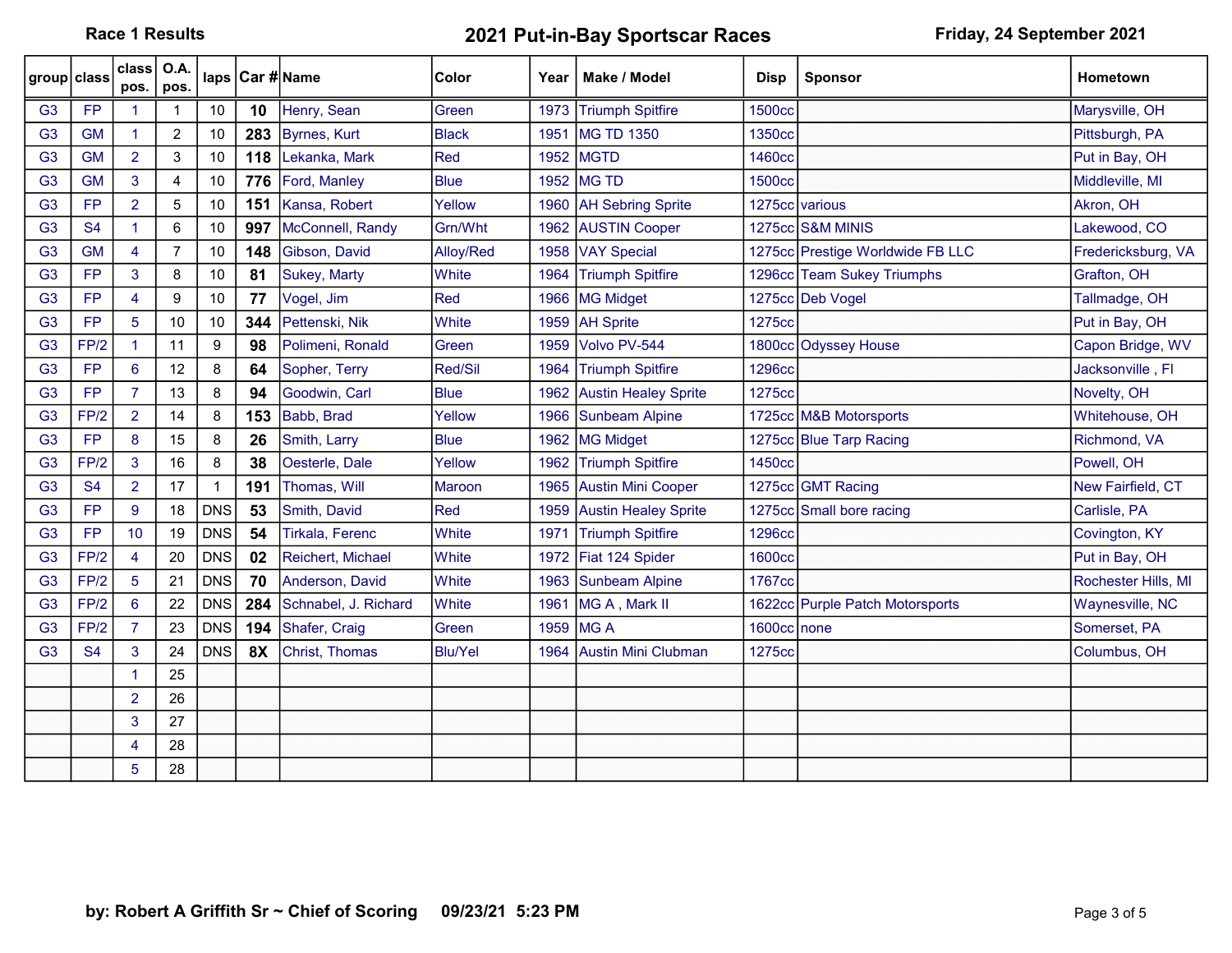Race 1 Results **2021 Put-in-Bay Sportscar Races** Friday, 24 September 2021

| group class    |           | class<br>pos.        | O.A.<br>pos.   |              |           | laps   Car # Name      | Color          | Year | Make / Model                | <b>Disp</b>    | <b>Sponsor</b>                   | <b>Hometown</b>     |
|----------------|-----------|----------------------|----------------|--------------|-----------|------------------------|----------------|------|-----------------------------|----------------|----------------------------------|---------------------|
| G <sub>3</sub> | <b>FP</b> | -1                   |                | 10           | 10        | Henry, Sean            | Green          |      | 1973 Triumph Spitfire       | <b>1500cc</b>  |                                  | Marysville, OH      |
| G <sub>3</sub> | <b>GM</b> | $\blacktriangleleft$ | $\overline{c}$ | 10           | 283       | Byrnes, Kurt           | Black          | 1951 | <b>MG TD 1350</b>           | 1350cc         |                                  | Pittsburgh, PA      |
| G <sub>3</sub> | <b>GM</b> | $\overline{2}$       | 3              | 10           | 118       | Lekanka, Mark          | Red            | 1952 | <b>MGTD</b>                 | 1460cc         |                                  | Put in Bay, OH      |
| G <sub>3</sub> | <b>GM</b> | 3                    | 4              | 10           | 776       | Ford, Manley           | <b>Blue</b>    | 1952 | <b>MG TD</b>                | <b>1500cc</b>  |                                  | Middleville, MI     |
| G <sub>3</sub> | <b>FP</b> | $\overline{2}$       | 5              | 10           | 151       | Kansa, Robert          | Yellow         |      | 1960   AH Sebring Sprite    | 1275cc various |                                  | Akron, OH           |
| G <sub>3</sub> | <b>S4</b> | $\mathbf{1}$         | 6              | 10           | 997       | McConnell, Randy       | Grn/Wht        | 1962 | <b>AUSTIN Cooper</b>        |                | 1275cc S&M MINIS                 | Lakewood, CO        |
| G <sub>3</sub> | <b>GM</b> | $\overline{4}$       | $\overline{7}$ | $10\,$       | 148       | Gibson, David          | Alloy/Red      | 1958 | <b>VAY Special</b>          |                | 1275cc Prestige Worldwide FB LLC | Fredericksburg, VA  |
| G <sub>3</sub> | <b>FP</b> | 3                    | 8              | 10           | 81        | Sukey, Marty           | <b>White</b>   | 1964 | <b>Triumph Spitfire</b>     |                | 1296cc Team Sukey Triumphs       | Grafton, OH         |
| G <sub>3</sub> | <b>FP</b> | $\overline{4}$       | 9              | 10           | 77        | Vogel, Jim             | Red            | 1966 | MG Midget                   |                | 1275cc Deb Vogel                 | Tallmadge, OH       |
| G <sub>3</sub> | <b>FP</b> | 5                    | 10             | 10           | 344       | Pettenski, Nik         | White          | 1959 | <b>AH Sprite</b>            | 1275cc         |                                  | Put in Bay, OH      |
| G <sub>3</sub> | FP/2      | $\blacktriangleleft$ | 11             | 9            | 98        | Polimeni, Ronald       | Green          | 1959 | Volvo PV-544                |                | 1800cc Odyssey House             | Capon Bridge, WV    |
| G <sub>3</sub> | <b>FP</b> | 6                    | 12             | 8            | 64        | Sopher, Terry          | Red/Sil        | 1964 | <b>Triumph Spitfire</b>     | <b>1296cc</b>  |                                  | Jacksonville, Fl    |
| G <sub>3</sub> | <b>FP</b> | $\overline{7}$       | 13             | 8            | 94        | Goodwin, Carl          | <b>Blue</b>    | 1962 | <b>Austin Healey Sprite</b> | 1275cc         |                                  | Novelty, OH         |
| G <sub>3</sub> | FP/2      | $\overline{2}$       | 14             | 8            | 153       | Babb, Brad             | Yellow         | 1966 | Sunbeam Alpine              |                | 1725cc M&B Motorsports           | Whitehouse, OH      |
| G <sub>3</sub> | <b>FP</b> | 8                    | 15             | 8            | 26        | Smith, Larry           | <b>Blue</b>    | 1962 | <b>MG Midget</b>            |                | 1275cc Blue Tarp Racing          | Richmond, VA        |
| G <sub>3</sub> | FP/2      | 3                    | 16             | 8            | 38        | Oesterle, Dale         | Yellow         |      | 1962 Triumph Spitfire       | 1450cc         |                                  | Powell, OH          |
| G <sub>3</sub> | <b>S4</b> | $\overline{2}$       | 17             | $\mathbf{1}$ | 191       | Thomas, Will           | <b>Maroon</b>  | 1965 | <b>Austin Mini Cooper</b>   |                | 1275cc GMT Racing                | New Fairfield, CT   |
| G <sub>3</sub> | <b>FP</b> | 9                    | 18             | <b>DNS</b>   | 53        | Smith, David           | Red            | 1959 | <b>Austin Healey Sprite</b> |                | 1275cc Small bore racing         | Carlisle, PA        |
| G <sub>3</sub> | <b>FP</b> | 10                   | 19             | <b>DNS</b>   | 54        | <b>Tirkala, Ferenc</b> | White          | 1971 | <b>Triumph Spitfire</b>     | <b>1296cc</b>  |                                  | Covington, KY       |
| G <sub>3</sub> | FP/2      | $\overline{4}$       | 20             | <b>DNS</b>   | 02        | Reichert, Michael      | <b>White</b>   | 1972 | Fiat 124 Spider             | <b>1600cc</b>  |                                  | Put in Bay, OH      |
| G <sub>3</sub> | FP/2      | $5\phantom{.0}$      | 21             | <b>DNS</b>   | 70        | Anderson, David        | White          | 1963 | <b>Sunbeam Alpine</b>       | 1767cc         |                                  | Rochester Hills, MI |
| G <sub>3</sub> | FP/2      | $6^{\circ}$          | 22             | <b>DNS</b>   | 284       | Schnabel, J. Richard   | White          | 1961 | MG A, Mark II               |                | 1622cc Purple Patch Motorsports  | Waynesville, NC     |
| G <sub>3</sub> | FP/2      | $\overline{7}$       | 23             | <b>DNS</b>   | 194       | Shafer, Craig          | Green          | 1959 | <b>IMGA</b>                 | 1600cc none    |                                  | Somerset, PA        |
| G <sub>3</sub> | <b>S4</b> | 3                    | 24             | <b>DNS</b>   | <b>8X</b> | Christ, Thomas         | <b>Blu/Yel</b> | 1964 | <b>Austin Mini Clubman</b>  | 1275cc         |                                  | Columbus, OH        |
|                |           |                      | 25             |              |           |                        |                |      |                             |                |                                  |                     |
|                |           | $\overline{2}$       | 26             |              |           |                        |                |      |                             |                |                                  |                     |
|                |           | 3                    | 27             |              |           |                        |                |      |                             |                |                                  |                     |
|                |           | 4                    | 28             |              |           |                        |                |      |                             |                |                                  |                     |
|                |           | 5                    | 28             |              |           |                        |                |      |                             |                |                                  |                     |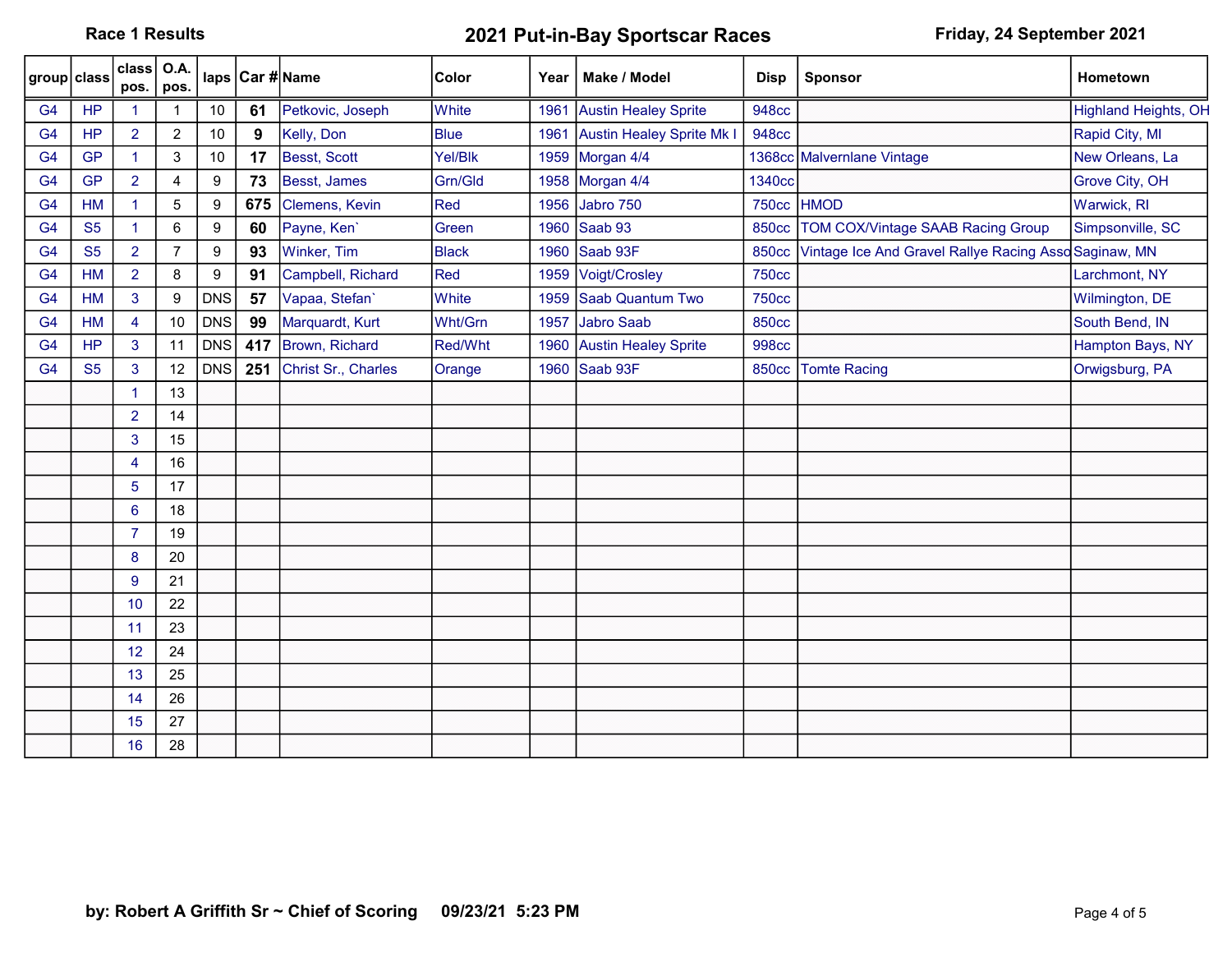Race 1 Results **2021 Put-in-Bay Sportscar Races** Friday, 24 September 2021

| group class    |           | class<br>pos.        | O.A.<br>pos.   |                  |     | laps Car #Name      | <b>Color</b> | Year | Make / Model                     | <b>Disp</b>  | <b>Sponsor</b>                                       | Hometown                    |
|----------------|-----------|----------------------|----------------|------------------|-----|---------------------|--------------|------|----------------------------------|--------------|------------------------------------------------------|-----------------------------|
| G <sub>4</sub> | <b>HP</b> | 1                    |                | 10               | 61  | Petkovic, Joseph    | White        | 1961 | <b>Austin Healey Sprite</b>      | <b>948cc</b> |                                                      | <b>Highland Heights, OH</b> |
| G <sub>4</sub> | <b>HP</b> | $\overline{2}$       | $\overline{2}$ | 10               | 9   | Kelly, Don          | <b>Blue</b>  | 1961 | <b>Austin Healey Sprite Mk I</b> | <b>948cc</b> |                                                      | Rapid City, MI              |
| G <sub>4</sub> | <b>GP</b> | $\blacktriangleleft$ | 3              | 10               | 17  | Besst, Scott        | Yel/Blk      | 1959 | Morgan 4/4                       |              | 1368cc Malvernlane Vintage                           | New Orleans, La             |
| G <sub>4</sub> | <b>GP</b> | $\overline{2}$       | 4              | 9                | 73  | Besst, James        | Grn/Gld      | 1958 | Morgan 4/4                       | 1340cc       |                                                      | Grove City, OH              |
| G <sub>4</sub> | <b>HM</b> | $\blacktriangleleft$ | 5              | $\boldsymbol{9}$ | 675 | Clemens, Kevin      | Red          | 1956 | Jabro 750                        | <b>750cc</b> | <b>HMOD</b>                                          | Warwick, RI                 |
| G <sub>4</sub> | <b>S5</b> | $\blacktriangleleft$ | 6              | $\boldsymbol{9}$ | 60  | Payne, Ken'         | Green        | 1960 | Saab 93                          | <b>850cc</b> | <b>TOM COX/Vintage SAAB Racing Group</b>             | Simpsonville, SC            |
| G <sub>4</sub> | <b>S5</b> | $\overline{2}$       | $\overline{7}$ | $\boldsymbol{9}$ | 93  | Winker, Tim         | Black        | 1960 | Saab 93F                         | <b>850cc</b> | Vintage Ice And Gravel Rallye Racing AssoSaginaw, MN |                             |
| G <sub>4</sub> | <b>HM</b> | $\overline{2}$       | 8              | 9                | 91  | Campbell, Richard   | Red          | 1959 | Voigt/Crosley                    | <b>750cc</b> |                                                      | Larchmont, NY               |
| G <sub>4</sub> | <b>HM</b> | 3                    | 9              | <b>DNS</b>       | 57  | Vapaa, Stefan'      | White        | 1959 | Saab Quantum Two                 | <b>750cc</b> |                                                      | Wilmington, DE              |
| G <sub>4</sub> | <b>HM</b> | $\overline{4}$       | 10             | <b>DNS</b>       | 99  | Marquardt, Kurt     | Wht/Grn      | 1957 | <b>Jabro Saab</b>                | <b>850cc</b> |                                                      | South Bend, IN              |
| G <sub>4</sub> | <b>HP</b> | 3                    | 11             | <b>DNS</b>       | 417 | Brown, Richard      | Red/Wht      | 1960 | <b>Austin Healey Sprite</b>      | <b>998cc</b> |                                                      | Hampton Bays, NY            |
| G <sub>4</sub> | <b>S5</b> | 3                    | 12             | <b>DNS</b>       | 251 | Christ Sr., Charles | Orange       |      | 1960 Saab 93F                    | 850cc        | <b>Tomte Racing</b>                                  | Orwigsburg, PA              |
|                |           | $\blacktriangleleft$ | 13             |                  |     |                     |              |      |                                  |              |                                                      |                             |
|                |           | $\overline{2}$       | 14             |                  |     |                     |              |      |                                  |              |                                                      |                             |
|                |           | 3                    | 15             |                  |     |                     |              |      |                                  |              |                                                      |                             |
|                |           | 4                    | 16             |                  |     |                     |              |      |                                  |              |                                                      |                             |
|                |           | 5                    | 17             |                  |     |                     |              |      |                                  |              |                                                      |                             |
|                |           | $6\phantom{a}$       | 18             |                  |     |                     |              |      |                                  |              |                                                      |                             |
|                |           | $\overline{7}$       | 19             |                  |     |                     |              |      |                                  |              |                                                      |                             |
|                |           | 8                    | 20             |                  |     |                     |              |      |                                  |              |                                                      |                             |
|                |           | $\overline{9}$       | 21             |                  |     |                     |              |      |                                  |              |                                                      |                             |
|                |           | 10                   | 22             |                  |     |                     |              |      |                                  |              |                                                      |                             |
|                |           | 11                   | 23             |                  |     |                     |              |      |                                  |              |                                                      |                             |
|                |           | 12                   | 24             |                  |     |                     |              |      |                                  |              |                                                      |                             |
|                |           | 13                   | 25             |                  |     |                     |              |      |                                  |              |                                                      |                             |
|                |           | 14                   | 26             |                  |     |                     |              |      |                                  |              |                                                      |                             |
|                |           | 15                   | 27             |                  |     |                     |              |      |                                  |              |                                                      |                             |
|                |           | 16                   | 28             |                  |     |                     |              |      |                                  |              |                                                      |                             |